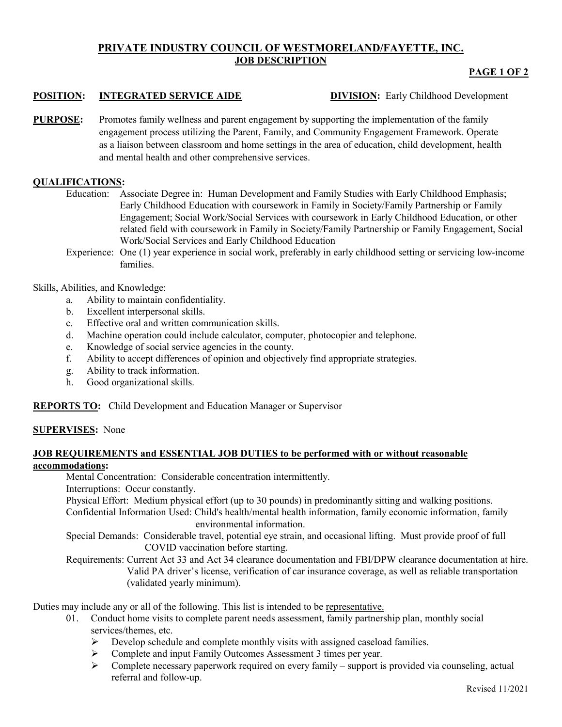# **PRIVATE INDUSTRY COUNCIL OF WESTMORELAND/FAYETTE, INC. JOB DESCRIPTION**

# **PAGE 1 OF 2**

## **POSITION: INTEGRATED SERVICE AIDE DIVISION:** Early Childhood Development

**PURPOSE:** Promotes family wellness and parent engagement by supporting the implementation of the family engagement process utilizing the Parent, Family, and Community Engagement Framework. Operate as a liaison between classroom and home settings in the area of education, child development, health and mental health and other comprehensive services.

### **QUALIFICATIONS:**

- Education: Associate Degree in: Human Development and Family Studies with Early Childhood Emphasis; Early Childhood Education with coursework in Family in Society/Family Partnership or Family Engagement; Social Work/Social Services with coursework in Early Childhood Education, or other related field with coursework in Family in Society/Family Partnership or Family Engagement, Social Work/Social Services and Early Childhood Education
- Experience: One (1) year experience in social work, preferably in early childhood setting or servicing low-income families.

### Skills, Abilities, and Knowledge:

- a. Ability to maintain confidentiality.
- b. Excellent interpersonal skills.
- c. Effective oral and written communication skills.
- d. Machine operation could include calculator, computer, photocopier and telephone.
- e. Knowledge of social service agencies in the county.
- f. Ability to accept differences of opinion and objectively find appropriate strategies.
- g. Ability to track information.
- h. Good organizational skills.

**REPORTS TO:** Child Development and Education Manager or Supervisor

#### **SUPERVISES:** None

### **JOB REQUIREMENTS and ESSENTIAL JOB DUTIES to be performed with or without reasonable accommodations:**

Mental Concentration: Considerable concentration intermittently.

Interruptions: Occur constantly.

Physical Effort: Medium physical effort (up to 30 pounds) in predominantly sitting and walking positions.

Confidential Information Used: Child's health/mental health information, family economic information, family environmental information.

Special Demands: Considerable travel, potential eye strain, and occasional lifting. Must provide proof of full COVID vaccination before starting.

Requirements: Current Act 33 and Act 34 clearance documentation and FBI/DPW clearance documentation at hire. Valid PA driver's license, verification of car insurance coverage, as well as reliable transportation (validated yearly minimum).

Duties may include any or all of the following. This list is intended to be representative.

- 01. Conduct home visits to complete parent needs assessment, family partnership plan, monthly social services/themes, etc.
	- $\triangleright$  Develop schedule and complete monthly visits with assigned caseload families.
	- Complete and input Family Outcomes Assessment 3 times per year.
	- $\triangleright$  Complete necessary paperwork required on every family support is provided via counseling, actual referral and follow-up.